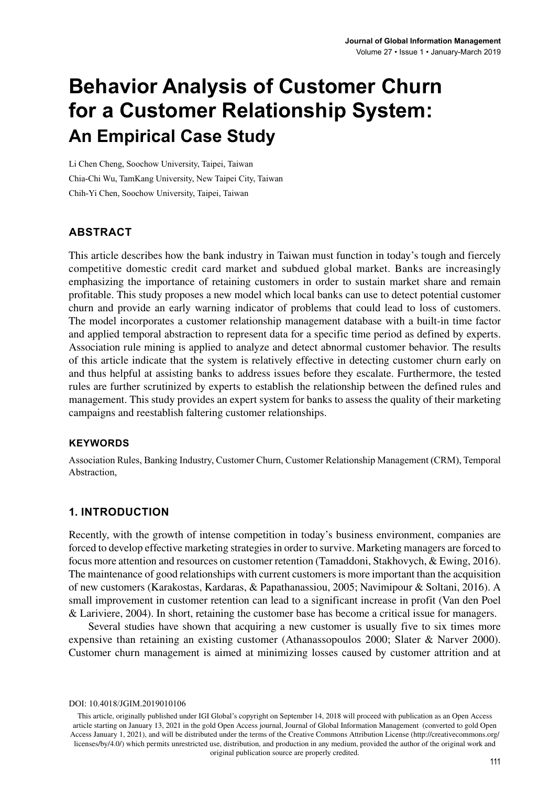# **Behavior Analysis of Customer Churn for a Customer Relationship System: An Empirical Case Study**

Li Chen Cheng, Soochow University, Taipei, Taiwan Chia-Chi Wu, TamKang University, New Taipei City, Taiwan Chih-Yi Chen, Soochow University, Taipei, Taiwan

# **ABSTRACT**

This article describes how the bank industry in Taiwan must function in today's tough and fiercely competitive domestic credit card market and subdued global market. Banks are increasingly emphasizing the importance of retaining customers in order to sustain market share and remain profitable. This study proposes a new model which local banks can use to detect potential customer churn and provide an early warning indicator of problems that could lead to loss of customers. The model incorporates a customer relationship management database with a built-in time factor and applied temporal abstraction to represent data for a specific time period as defined by experts. Association rule mining is applied to analyze and detect abnormal customer behavior. The results of this article indicate that the system is relatively effective in detecting customer churn early on and thus helpful at assisting banks to address issues before they escalate. Furthermore, the tested rules are further scrutinized by experts to establish the relationship between the defined rules and management. This study provides an expert system for banks to assess the quality of their marketing campaigns and reestablish faltering customer relationships.

## **Keywords**

Association Rules, Banking Industry, Customer Churn, Customer Relationship Management (CRM), Temporal Abstraction,

# **1. INTRODUCTION**

Recently, with the growth of intense competition in today's business environment, companies are forced to develop effective marketing strategiesin order to survive. Marketing managers are forced to focus more attention and resources on customer retention (Tamaddoni, Stakhovych, & Ewing, 2016). The maintenance of good relationships with current customersis more important than the acquisition of new customers (Karakostas, Kardaras, & Papathanassiou, 2005; Navimipour & Soltani, 2016). A small improvement in customer retention can lead to a significant increase in profit (Van den Poel & Lariviere, 2004). In short, retaining the customer base has become a critical issue for managers.

Several studies have shown that acquiring a new customer is usually five to six times more expensive than retaining an existing customer (Athanassopoulos 2000; Slater & Narver 2000). Customer churn management is aimed at minimizing losses caused by customer attrition and at

DOI: 10.4018/JGIM.2019010106

Access January 1, 2021), and will be distributed under the terms of the Creative Commons Attribution License (http://creativecommons.org/ This article, originally published under IGI Global's copyright on September 14, 2018 will proceed with publication as an Open Access article starting on January 13, 2021 in the gold Open Access journal, Journal of Global Information Management (converted to gold Open licenses/by/4.0/) which permits unrestricted use, distribution, and production in any medium, provided the author of the original work and original publication source are properly credited.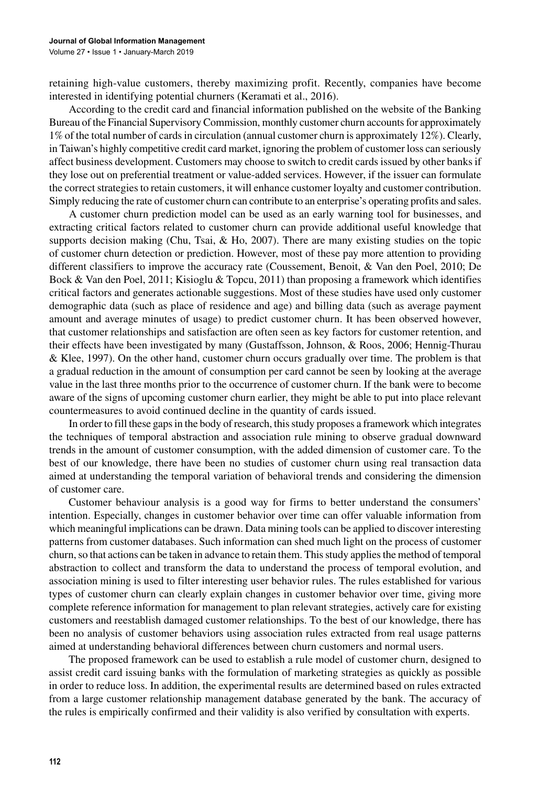retaining high-value customers, thereby maximizing profit. Recently, companies have become interested in identifying potential churners (Keramati et al., 2016).

According to the credit card and financial information published on the website of the Banking Bureau of the Financial Supervisory Commission, monthly customer churn accounts for approximately 1% of the total number of cardsin circulation (annual customer churn is approximately 12%). Clearly, in Taiwan's highly competitive credit card market, ignoring the problem of customer loss can seriously affect business development. Customers may choose to switch to credit cardsissued by other banksif they lose out on preferential treatment or value-added services. However, if the issuer can formulate the correct strategies to retain customers, it will enhance customer loyalty and customer contribution. Simply reducing the rate of customer churn can contribute to an enterprise's operating profits and sales.

A customer churn prediction model can be used as an early warning tool for businesses, and extracting critical factors related to customer churn can provide additional useful knowledge that supports decision making (Chu, Tsai,  $\&$  Ho, 2007). There are many existing studies on the topic of customer churn detection or prediction. However, most of these pay more attention to providing different classifiers to improve the accuracy rate (Coussement, Benoit, & Van den Poel, 2010; De Bock & Van den Poel, 2011; Kisioglu & Topcu, 2011) than proposing a framework which identifies critical factors and generates actionable suggestions. Most of these studies have used only customer demographic data (such as place of residence and age) and billing data (such as average payment amount and average minutes of usage) to predict customer churn. It has been observed however, that customer relationships and satisfaction are often seen as key factors for customer retention, and their effects have been investigated by many (Gustaffsson, Johnson, & Roos, 2006; Hennig-Thurau & Klee, 1997). On the other hand, customer churn occurs gradually over time. The problem is that a gradual reduction in the amount of consumption per card cannot be seen by looking at the average value in the last three months prior to the occurrence of customer churn. If the bank were to become aware of the signs of upcoming customer churn earlier, they might be able to put into place relevant countermeasures to avoid continued decline in the quantity of cards issued.

In order to fill these gaps in the body of research, this study proposes a framework which integrates the techniques of temporal abstraction and association rule mining to observe gradual downward trends in the amount of customer consumption, with the added dimension of customer care. To the best of our knowledge, there have been no studies of customer churn using real transaction data aimed at understanding the temporal variation of behavioral trends and considering the dimension of customer care.

Customer behaviour analysis is a good way for firms to better understand the consumers' intention. Especially, changes in customer behavior over time can offer valuable information from which meaningful implications can be drawn. Data mining tools can be applied to discover interesting patterns from customer databases. Such information can shed much light on the process of customer churn, so that actions can be taken in advance to retain them. This study applies the method of temporal abstraction to collect and transform the data to understand the process of temporal evolution, and association mining is used to filter interesting user behavior rules. The rules established for various types of customer churn can clearly explain changes in customer behavior over time, giving more complete reference information for management to plan relevant strategies, actively care for existing customers and reestablish damaged customer relationships. To the best of our knowledge, there has been no analysis of customer behaviors using association rules extracted from real usage patterns aimed at understanding behavioral differences between churn customers and normal users.

The proposed framework can be used to establish a rule model of customer churn, designed to assist credit card issuing banks with the formulation of marketing strategies as quickly as possible in order to reduce loss. In addition, the experimental results are determined based on rules extracted from a large customer relationship management database generated by the bank. The accuracy of the rules is empirically confirmed and their validity is also verified by consultation with experts.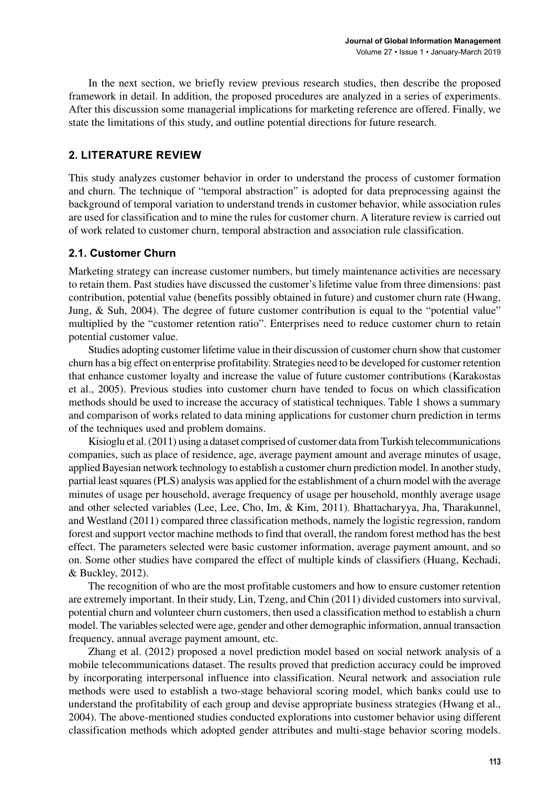In the next section, we briefly review previous research studies, then describe the proposed framework in detail. In addition, the proposed procedures are analyzed in a series of experiments. After this discussion some managerial implications for marketing reference are offered. Finally, we state the limitations of this study, and outline potential directions for future research.

# **2. LITERATURE REVIEW**

This study analyzes customer behavior in order to understand the process of customer formation and churn. The technique of "temporal abstraction" is adopted for data preprocessing against the background of temporal variation to understand trends in customer behavior, while association rules are used for classification and to mine the rules for customer churn. A literature review is carried out of work related to customer churn, temporal abstraction and association rule classification.

## **2.1. Customer Churn**

Marketing strategy can increase customer numbers, but timely maintenance activities are necessary to retain them. Past studies have discussed the customer's lifetime value from three dimensions: past contribution, potential value (benefits possibly obtained in future) and customer churn rate (Hwang, Jung, & Suh, 2004). The degree of future customer contribution is equal to the "potential value" multiplied by the "customer retention ratio". Enterprises need to reduce customer churn to retain potential customer value.

Studies adopting customer lifetime value in their discussion of customer churn show that customer churn has a big effect on enterprise profitability. Strategies need to be developed for customer retention that enhance customer loyalty and increase the value of future customer contributions (Karakostas et al., 2005). Previous studies into customer churn have tended to focus on which classification methods should be used to increase the accuracy of statistical techniques. Table 1 shows a summary and comparison of works related to data mining applications for customer churn prediction in terms of the techniques used and problem domains.

Kisioglu et al.(2011) using a dataset comprised of customer data from Turkish telecommunications companies, such as place of residence, age, average payment amount and average minutes of usage, applied Bayesian network technology to establish a customer churn prediction model. In another study, partial leastsquares(PLS) analysis was applied for the establishment of a churn model with the average minutes of usage per household, average frequency of usage per household, monthly average usage and other selected variables (Lee, Lee, Cho, Im, & Kim, 2011). Bhattacharyya, Jha, Tharakunnel, and Westland (2011) compared three classification methods, namely the logistic regression, random forest and support vector machine methods to find that overall, the random forest method has the best effect. The parameters selected were basic customer information, average payment amount, and so on. Some other studies have compared the effect of multiple kinds of classifiers (Huang, Kechadi, & Buckley, 2012).

The recognition of who are the most profitable customers and how to ensure customer retention are extremely important. In their study, Lin, Tzeng, and Chin (2011) divided customers into survival, potential churn and volunteer churn customers, then used a classification method to establish a churn model. The variables selected were age, gender and other demographic information, annual transaction frequency, annual average payment amount, etc.

Zhang et al. (2012) proposed a novel prediction model based on social network analysis of a mobile telecommunications dataset. The results proved that prediction accuracy could be improved by incorporating interpersonal influence into classification. Neural network and association rule methods were used to establish a two-stage behavioral scoring model, which banks could use to understand the profitability of each group and devise appropriate business strategies (Hwang et al., 2004). The above-mentioned studies conducted explorations into customer behavior using different classification methods which adopted gender attributes and multi-stage behavior scoring models.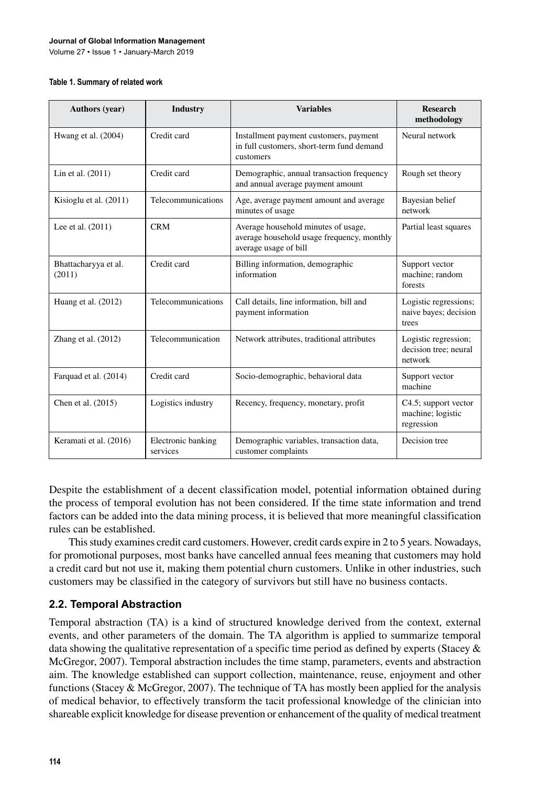#### **Journal of Global Information Management**

Volume 27 • Issue 1 • January-March 2019

#### **Table 1. Summary of related work**

| <b>Authors</b> (year)          | <b>Industry</b>                | <b>Variables</b>                                                                                           | <b>Research</b><br>methodology                           |
|--------------------------------|--------------------------------|------------------------------------------------------------------------------------------------------------|----------------------------------------------------------|
| Hwang et al. (2004)            | Credit card                    | Installment payment customers, payment<br>in full customers, short-term fund demand<br>customers           | Neural network                                           |
| Lin et al. (2011)              | Credit card                    | Demographic, annual transaction frequency<br>and annual average payment amount                             | Rough set theory                                         |
| Kisioglu et al. (2011)         | Telecommunications             | Age, average payment amount and average<br>minutes of usage                                                | Bayesian belief<br>network                               |
| Lee et al. $(2011)$            | <b>CRM</b>                     | Average household minutes of usage,<br>average household usage frequency, monthly<br>average usage of bill | Partial least squares                                    |
| Bhattacharyya et al.<br>(2011) | Credit card                    | Billing information, demographic<br>information                                                            | Support vector<br>machine; random<br>forests             |
| Huang et al. (2012)            | Telecommunications             | Call details, line information, bill and<br>payment information                                            | Logistic regressions;<br>naive bayes; decision<br>trees  |
| Zhang et al. $(2012)$          | Telecommunication              | Network attributes, traditional attributes                                                                 | Logistic regression;<br>decision tree; neural<br>network |
| Farquad et al. (2014)          | Credit card                    | Socio-demographic, behavioral data                                                                         | Support vector<br>machine                                |
| Chen et al. (2015)             | Logistics industry             | Recency, frequency, monetary, profit                                                                       | C4.5; support vector<br>machine; logistic<br>regression  |
| Keramati et al. (2016)         | Electronic banking<br>services | Demographic variables, transaction data,<br>customer complaints                                            | Decision tree                                            |

Despite the establishment of a decent classification model, potential information obtained during the process of temporal evolution has not been considered. If the time state information and trend factors can be added into the data mining process, it is believed that more meaningful classification rules can be established.

Thisstudy examines credit card customers. However, credit cards expire in 2 to 5 years. Nowadays, for promotional purposes, most banks have cancelled annual fees meaning that customers may hold a credit card but not use it, making them potential churn customers. Unlike in other industries, such customers may be classified in the category of survivors but still have no business contacts.

## **2.2. Temporal Abstraction**

Temporal abstraction (TA) is a kind of structured knowledge derived from the context, external events, and other parameters of the domain. The TA algorithm is applied to summarize temporal data showing the qualitative representation of a specific time period as defined by experts (Stacey  $\&$ McGregor, 2007). Temporal abstraction includes the time stamp, parameters, events and abstraction aim. The knowledge established can support collection, maintenance, reuse, enjoyment and other functions (Stacey & McGregor, 2007). The technique of TA has mostly been applied for the analysis of medical behavior, to effectively transform the tacit professional knowledge of the clinician into shareable explicit knowledge for disease prevention or enhancement of the quality of medical treatment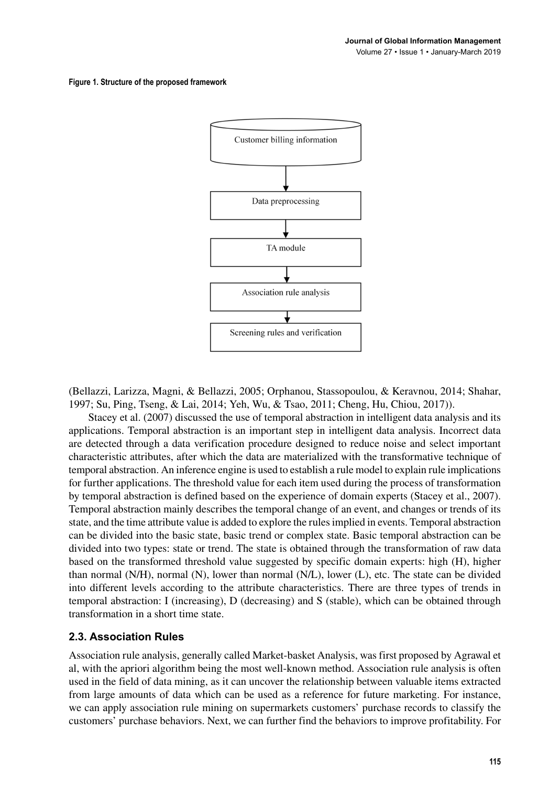#### **Figure 1. Structure of the proposed framework**



(Bellazzi, Larizza, Magni, & Bellazzi, 2005; Orphanou, Stassopoulou, & Keravnou, 2014; Shahar, 1997; Su, Ping, Tseng, & Lai, 2014; Yeh, Wu, & Tsao, 2011; Cheng, Hu, Chiou, 2017)).

Stacey et al. (2007) discussed the use of temporal abstraction in intelligent data analysis and its applications. Temporal abstraction is an important step in intelligent data analysis. Incorrect data are detected through a data verification procedure designed to reduce noise and select important characteristic attributes, after which the data are materialized with the transformative technique of temporal abstraction. An inference engine is used to establish a rule model to explain rule implications for further applications. The threshold value for each item used during the process of transformation by temporal abstraction is defined based on the experience of domain experts (Stacey et al., 2007). Temporal abstraction mainly describes the temporal change of an event, and changes or trends of its state, and the time attribute value is added to explore the rulesimplied in events. Temporal abstraction can be divided into the basic state, basic trend or complex state. Basic temporal abstraction can be divided into two types: state or trend. The state is obtained through the transformation of raw data based on the transformed threshold value suggested by specific domain experts: high (H), higher than normal (N/H), normal (N), lower than normal (N/L), lower (L), etc. The state can be divided into different levels according to the attribute characteristics. There are three types of trends in temporal abstraction: I (increasing), D (decreasing) and S (stable), which can be obtained through transformation in a short time state.

#### **2.3. Association Rules**

Association rule analysis, generally called Market-basket Analysis, was first proposed by Agrawal et al, with the apriori algorithm being the most well-known method. Association rule analysis is often used in the field of data mining, as it can uncover the relationship between valuable items extracted from large amounts of data which can be used as a reference for future marketing. For instance, we can apply association rule mining on supermarkets customers' purchase records to classify the customers' purchase behaviors. Next, we can further find the behaviors to improve profitability. For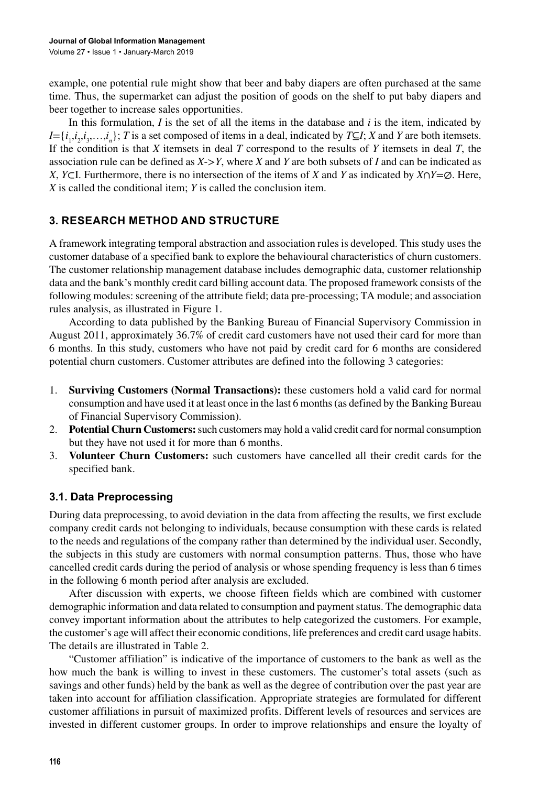example, one potential rule might show that beer and baby diapers are often purchased at the same time. Thus, the supermarket can adjust the position of goods on the shelf to put baby diapers and beer together to increase sales opportunities.

In this formulation,  $I$  is the set of all the items in the database and  $i$  is the item, indicated by *I*={*i*<sub>1</sub>,*i*<sub>2</sub>,*i*<sub>3</sub>,...,*i*<sub>n</sub>}; *T* is a set composed of items in a deal, indicated by *T*⊆*I*; *X* and *Y* are both itemsets. If the condition is that *X* itemsets in deal *T* correspond to the results of *Y* itemsets in deal *T*, the association rule can be defined as *X*->*Y*, where *X* and *Y* are both subsets of *I* and can be indicated as *X*, *Y*⊂I. Furthermore, there is no intersection of the items of *X* and *Y* as indicated by *X*∩*Y*=∅. Here, *X* is called the conditional item; *Y* is called the conclusion item.

# **3. RESEARCH METHOD AND STRUCTURE**

A framework integrating temporal abstraction and association rules is developed. This study uses the customer database of a specified bank to explore the behavioural characteristics of churn customers. The customer relationship management database includes demographic data, customer relationship data and the bank's monthly credit card billing account data. The proposed framework consists of the following modules: screening of the attribute field; data pre-processing; TA module; and association rules analysis, as illustrated in Figure 1.

According to data published by the Banking Bureau of Financial Supervisory Commission in August 2011, approximately 36.7% of credit card customers have not used their card for more than 6 months. In this study, customers who have not paid by credit card for 6 months are considered potential churn customers. Customer attributes are defined into the following 3 categories:

- 1. **Surviving Customers (Normal Transactions):** these customers hold a valid card for normal consumption and have used it at least once in the last 6 months(as defined by the Banking Bureau of Financial Supervisory Commission).
- 2. **Potential Churn Customers:**such customers may hold a valid credit card for normal consumption but they have not used it for more than 6 months.
- 3. **Volunteer Churn Customers:** such customers have cancelled all their credit cards for the specified bank.

# **3.1. Data Preprocessing**

During data preprocessing, to avoid deviation in the data from affecting the results, we first exclude company credit cards not belonging to individuals, because consumption with these cards is related to the needs and regulations of the company rather than determined by the individual user. Secondly, the subjects in this study are customers with normal consumption patterns. Thus, those who have cancelled credit cards during the period of analysis or whose spending frequency is less than 6 times in the following 6 month period after analysis are excluded.

After discussion with experts, we choose fifteen fields which are combined with customer demographic information and data related to consumption and payment status. The demographic data convey important information about the attributes to help categorized the customers. For example, the customer's age will affect their economic conditions, life preferences and credit card usage habits. The details are illustrated in Table 2.

"Customer affiliation" is indicative of the importance of customers to the bank as well as the how much the bank is willing to invest in these customers. The customer's total assets (such as savings and other funds) held by the bank as well as the degree of contribution over the past year are taken into account for affiliation classification. Appropriate strategies are formulated for different customer affiliations in pursuit of maximized profits. Different levels of resources and services are invested in different customer groups. In order to improve relationships and ensure the loyalty of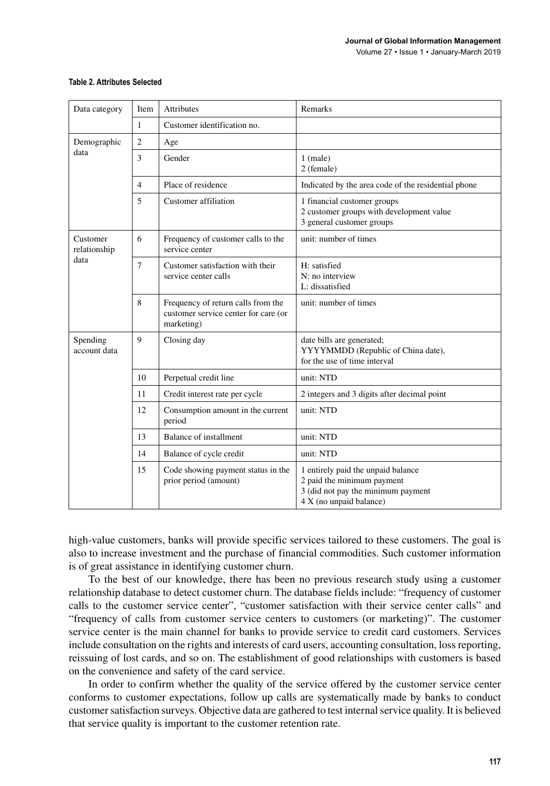|  |  | <b>Table 2. Attributes Selected</b> |  |
|--|--|-------------------------------------|--|
|--|--|-------------------------------------|--|

| Data category            | Item         | <b>Attributes</b>                                                                        | Remarks                                                                                                                           |  |
|--------------------------|--------------|------------------------------------------------------------------------------------------|-----------------------------------------------------------------------------------------------------------------------------------|--|
|                          | $\mathbf{1}$ | Customer identification no.                                                              |                                                                                                                                   |  |
| Demographic              | 2            | Age                                                                                      |                                                                                                                                   |  |
| data                     | 3            | Gender                                                                                   | $1$ (male)<br>2 (female)                                                                                                          |  |
|                          | 4            | Place of residence                                                                       | Indicated by the area code of the residential phone                                                                               |  |
|                          | 5            | Customer affiliation                                                                     | 1 financial customer groups<br>2 customer groups with development value<br>3 general customer groups                              |  |
| Customer<br>relationship | 6            | Frequency of customer calls to the<br>service center                                     | unit: number of times                                                                                                             |  |
| data                     | 7            | Customer satisfaction with their<br>service center calls                                 | H: satisfied<br>N: no interview<br>L: dissatisfied                                                                                |  |
|                          | 8            | Frequency of return calls from the<br>customer service center for care (or<br>marketing) | unit: number of times                                                                                                             |  |
| Spending<br>account data | 9            | Closing day                                                                              | date bills are generated;<br>YYYYMMDD (Republic of China date),<br>for the use of time interval                                   |  |
|                          | 10           | Perpetual credit line                                                                    | unit: NTD                                                                                                                         |  |
|                          | 11           | Credit interest rate per cycle                                                           | 2 integers and 3 digits after decimal point                                                                                       |  |
|                          | 12           | Consumption amount in the current<br>period                                              | unit: NTD                                                                                                                         |  |
|                          | 13           | <b>Balance of installment</b>                                                            | unit: NTD                                                                                                                         |  |
|                          | 14           | Balance of cycle credit                                                                  | unit: NTD                                                                                                                         |  |
|                          | 15           | Code showing payment status in the<br>prior period (amount)                              | 1 entirely paid the unpaid balance<br>2 paid the minimum payment<br>3 (did not pay the minimum payment<br>4 X (no unpaid balance) |  |

high-value customers, banks will provide specific services tailored to these customers. The goal is also to increase investment and the purchase of financial commodities. Such customer information is of great assistance in identifying customer churn.

To the best of our knowledge, there has been no previous research study using a customer relationship database to detect customer churn. The database fields include: "frequency of customer calls to the customer service center", "customer satisfaction with their service center calls" and "frequency of calls from customer service centers to customers (or marketing)". The customer service center is the main channel for banks to provide service to credit card customers. Services include consultation on the rights and interests of card users, accounting consultation, loss reporting, reissuing of lost cards, and so on. The establishment of good relationships with customers is based on the convenience and safety of the card service.

In order to confirm whether the quality of the service offered by the customer service center conforms to customer expectations, follow up calls are systematically made by banks to conduct customersatisfaction surveys. Objective data are gathered to test internalservice quality. It is believed that service quality is important to the customer retention rate.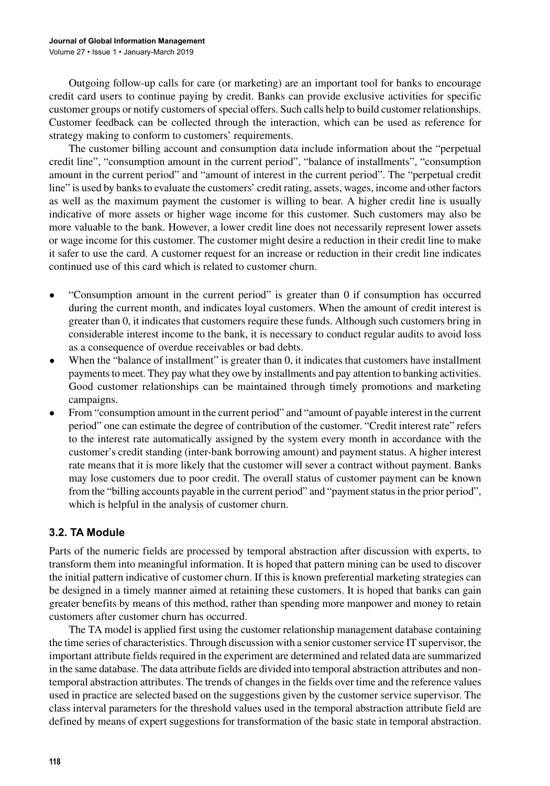Outgoing follow-up calls for care (or marketing) are an important tool for banks to encourage credit card users to continue paying by credit. Banks can provide exclusive activities for specific customer groups or notify customers of special offers. Such calls help to build customer relationships. Customer feedback can be collected through the interaction, which can be used as reference for strategy making to conform to customers' requirements.

The customer billing account and consumption data include information about the "perpetual credit line", "consumption amount in the current period", "balance of installments", "consumption amount in the current period" and "amount of interest in the current period". The "perpetual credit line" is used by banks to evaluate the customers' credit rating, assets, wages, income and other factors as well as the maximum payment the customer is willing to bear. A higher credit line is usually indicative of more assets or higher wage income for this customer. Such customers may also be more valuable to the bank. However, a lower credit line does not necessarily represent lower assets or wage income for this customer. The customer might desire a reduction in their credit line to make it safer to use the card. A customer request for an increase or reduction in their credit line indicates continued use of this card which is related to customer churn.

- "Consumption amount in the current period" is greater than 0 if consumption has occurred during the current month, and indicates loyal customers. When the amount of credit interest is greater than 0, it indicates that customers require these funds. Although such customers bring in considerable interest income to the bank, it is necessary to conduct regular audits to avoid loss as a consequence of overdue receivables or bad debts.
- When the "balance of installment" is greater than 0, it indicates that customers have installment payments to meet. They pay what they owe by installments and pay attention to banking activities. Good customer relationships can be maintained through timely promotions and marketing campaigns.
- From "consumption amount in the current period" and "amount of payable interest in the current period" one can estimate the degree of contribution of the customer. "Credit interest rate" refers to the interest rate automatically assigned by the system every month in accordance with the customer's credit standing (inter-bank borrowing amount) and payment status. A higher interest rate means that it is more likely that the customer will sever a contract without payment. Banks may lose customers due to poor credit. The overall status of customer payment can be known from the "billing accounts payable in the current period" and "paymentstatusin the prior period", which is helpful in the analysis of customer churn.

# **3.2. TA Module**

Parts of the numeric fields are processed by temporal abstraction after discussion with experts, to transform them into meaningful information. It is hoped that pattern mining can be used to discover the initial pattern indicative of customer churn. If this is known preferential marketing strategies can be designed in a timely manner aimed at retaining these customers. It is hoped that banks can gain greater benefits by means of this method, rather than spending more manpower and money to retain customers after customer churn has occurred.

The TA model is applied first using the customer relationship management database containing the time series of characteristics. Through discussion with a senior customer service IT supervisor, the important attribute fields required in the experiment are determined and related data are summarized in the same database. The data attribute fields are divided into temporal abstraction attributes and nontemporal abstraction attributes. The trends of changes in the fields over time and the reference values used in practice are selected based on the suggestions given by the customer service supervisor. The class interval parameters for the threshold values used in the temporal abstraction attribute field are defined by means of expert suggestions for transformation of the basic state in temporal abstraction.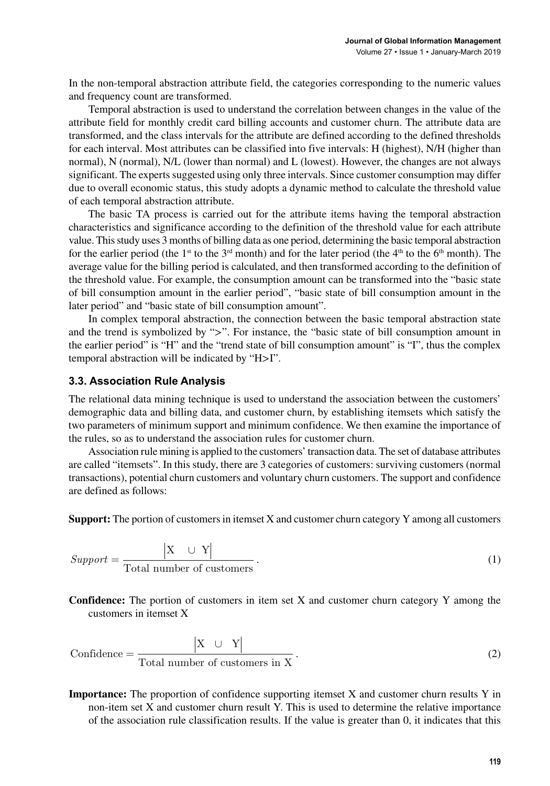In the non-temporal abstraction attribute field, the categories corresponding to the numeric values and frequency count are transformed.

Temporal abstraction is used to understand the correlation between changes in the value of the attribute field for monthly credit card billing accounts and customer churn. The attribute data are transformed, and the class intervals for the attribute are defined according to the defined thresholds for each interval. Most attributes can be classified into five intervals: H (highest), N/H (higher than normal), N (normal), N/L (lower than normal) and L (lowest). However, the changes are not always significant. The experts suggested using only three intervals. Since customer consumption may differ due to overall economic status, this study adopts a dynamic method to calculate the threshold value of each temporal abstraction attribute.

The basic TA process is carried out for the attribute items having the temporal abstraction characteristics and significance according to the definition of the threshold value for each attribute value. Thisstudy uses 3 months of billing data as one period, determining the basic temporal abstraction for the earlier period (the 1<sup>st</sup> to the 3<sup>rd</sup> month) and for the later period (the 4<sup>th</sup> to the 6<sup>th</sup> month). The average value for the billing period is calculated, and then transformed according to the definition of the threshold value. For example, the consumption amount can be transformed into the "basic state of bill consumption amount in the earlier period", "basic state of bill consumption amount in the later period" and "basic state of bill consumption amount".

In complex temporal abstraction, the connection between the basic temporal abstraction state and the trend is symbolized by ">". For instance, the "basic state of bill consumption amount in the earlier period" is "H" and the "trend state of bill consumption amount" is "I", thus the complex temporal abstraction will be indicated by "H>I".

## **3.3. Association Rule Analysis**

The relational data mining technique is used to understand the association between the customers' demographic data and billing data, and customer churn, by establishing itemsets which satisfy the two parameters of minimum support and minimum confidence. We then examine the importance of the rules, so as to understand the association rules for customer churn.

Association rule mining is applied to the customers' transaction data. The set of database attributes are called "itemsets". In this study, there are 3 categories of customers: surviving customers (normal transactions), potential churn customers and voluntary churn customers. The support and confidence are defined as follows:

**Support:** The portion of customers in itemset X and customer churn category Y among all customers

$$
Support = \frac{\begin{vmatrix} X & \cup Y \end{vmatrix}}{\text{Total number of customers}}.
$$
\n<sup>(1)</sup>

**Confidence:** The portion of customers in item set X and customer churn category Y among the customers in itemset X

$$
Confidence = \frac{|X \cup Y|}{Total number of customers in X}.
$$
\n(2)

**Importance:** The proportion of confidence supporting itemset X and customer churn results Y in non-item set X and customer churn result Y. This is used to determine the relative importance of the association rule classification results. If the value is greater than 0, it indicates that this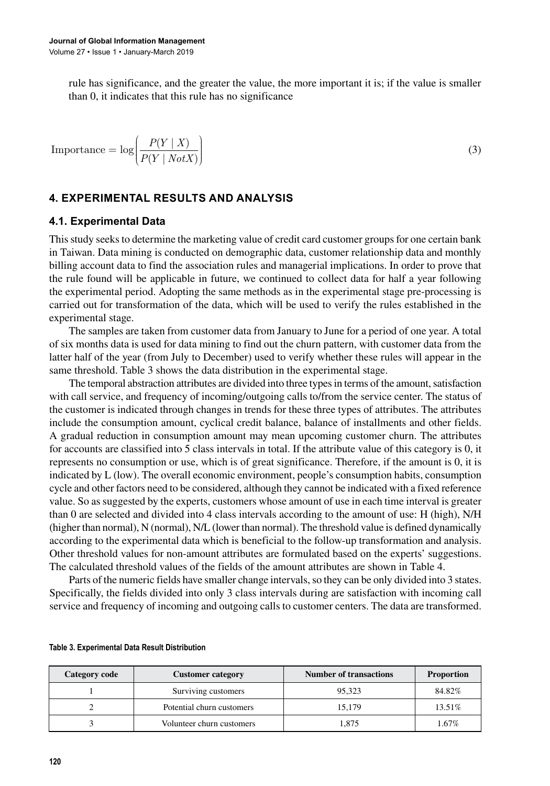rule has significance, and the greater the value, the more important it is; if the value is smaller than 0, it indicates that this rule has no significance

$$
Importance = log \left( \frac{P(Y \mid X)}{P(Y \mid NotX)} \right)
$$
\n(3)

# **4. EXPERIMENTAL RESULTS AND ANALYSIS**

#### **4.1. Experimental Data**

This study seeks to determine the marketing value of credit card customer groups for one certain bank in Taiwan. Data mining is conducted on demographic data, customer relationship data and monthly billing account data to find the association rules and managerial implications. In order to prove that the rule found will be applicable in future, we continued to collect data for half a year following the experimental period. Adopting the same methods as in the experimental stage pre-processing is carried out for transformation of the data, which will be used to verify the rules established in the experimental stage.

The samples are taken from customer data from January to June for a period of one year. A total of six months data is used for data mining to find out the churn pattern, with customer data from the latter half of the year (from July to December) used to verify whether these rules will appear in the same threshold. Table 3 shows the data distribution in the experimental stage.

The temporal abstraction attributes are divided into three types in terms of the amount, satisfaction with call service, and frequency of incoming/outgoing calls to/from the service center. The status of the customer is indicated through changes in trends for these three types of attributes. The attributes include the consumption amount, cyclical credit balance, balance of installments and other fields. A gradual reduction in consumption amount may mean upcoming customer churn. The attributes for accounts are classified into 5 class intervals in total. If the attribute value of this category is 0, it represents no consumption or use, which is of great significance. Therefore, if the amount is 0, it is indicated by L (low). The overall economic environment, people's consumption habits, consumption cycle and other factors need to be considered, although they cannot be indicated with a fixed reference value. So as suggested by the experts, customers whose amount of use in each time interval is greater than 0 are selected and divided into 4 class intervals according to the amount of use: H (high), N/H (higher than normal), N (normal), N/L (lower than normal). The threshold value is defined dynamically according to the experimental data which is beneficial to the follow-up transformation and analysis. Other threshold values for non-amount attributes are formulated based on the experts' suggestions. The calculated threshold values of the fields of the amount attributes are shown in Table 4.

Parts of the numeric fields have smaller change intervals, so they can be only divided into 3 states. Specifically, the fields divided into only 3 class intervals during are satisfaction with incoming call service and frequency of incoming and outgoing calls to customer centers. The data are transformed.

| Category code | <b>Customer category</b>  | <b>Number of transactions</b> | <b>Proportion</b> |
|---------------|---------------------------|-------------------------------|-------------------|
|               | Surviving customers       | 95.323                        | 84.82%            |
|               | Potential churn customers | 15.179                        | 13.51%            |
|               | Volunteer churn customers | 1.875                         | 1.67%             |

#### **Table 3. Experimental Data Result Distribution**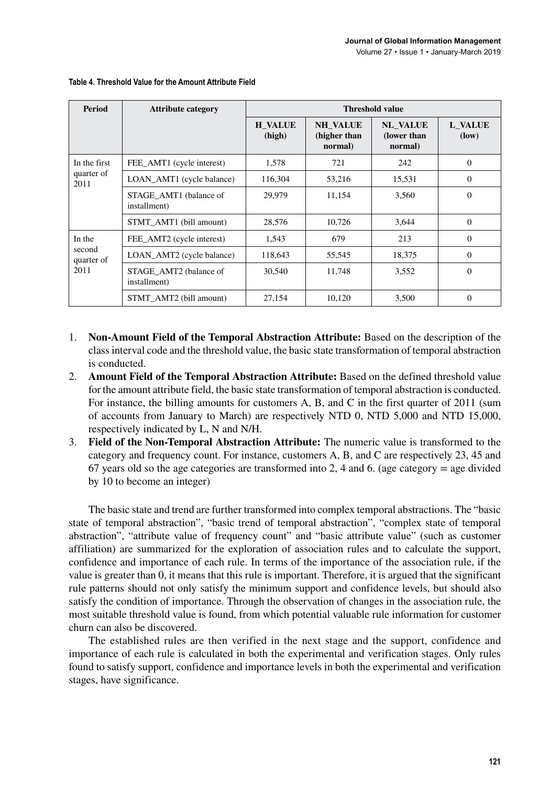| <b>Period</b>        | <b>Attribute category</b>              |                          |                                            | <b>Threshold value</b>                    |                  |
|----------------------|----------------------------------------|--------------------------|--------------------------------------------|-------------------------------------------|------------------|
|                      |                                        | <b>H</b> VALUE<br>(high) | <b>NH VALUE</b><br>(higher than<br>normal) | <b>NL VALUE</b><br>(lower than<br>normal) | L VALUE<br>$low$ |
| In the first         | FEE_AMT1 (cycle interest)              | 1,578                    | 721                                        | 242                                       | $\Omega$         |
| quarter of<br>2011   | LOAN_AMT1 (cycle balance)              | 116,304                  | 53,216                                     | 15,531                                    | $\Omega$         |
|                      | STAGE AMT1 (balance of<br>installment) | 29.979                   | 11,154                                     | 3,560                                     | $\Omega$         |
|                      | STMT AMT1 (bill amount)                | 28,576                   | 10,726                                     | 3,644                                     | $\Omega$         |
| In the               | FEE AMT2 (cycle interest)              | 1,543                    | 679                                        | 213                                       | $\Omega$         |
| second<br>quarter of | LOAN AMT2 (cycle balance)              | 118,643                  | 55,545                                     | 18,375                                    | $\Omega$         |
| 2011                 | STAGE AMT2 (balance of<br>installment) | 30,540                   | 11.748                                     | 3,552                                     | $\Omega$         |
|                      | STMT AMT2 (bill amount)                | 27,154                   | 10.120                                     | 3.500                                     | $\Omega$         |

#### **Table 4. Threshold Value for the Amount Attribute Field**

- 1. **Non-Amount Field of the Temporal Abstraction Attribute:** Based on the description of the classinterval code and the threshold value, the basic state transformation of temporal abstraction is conducted.
- 2. **Amount Field of the Temporal Abstraction Attribute:** Based on the defined threshold value for the amount attribute field, the basic state transformation of temporal abstraction is conducted. For instance, the billing amounts for customers A, B, and C in the first quarter of 2011 (sum of accounts from January to March) are respectively NTD 0, NTD 5,000 and NTD 15,000, respectively indicated by L, N and N/H.
- 3. **Field of the Non-Temporal Abstraction Attribute:** The numeric value is transformed to the category and frequency count. For instance, customers A, B, and C are respectively 23, 45 and 67 years old so the age categories are transformed into 2, 4 and 6. (age category  $=$  age divided by 10 to become an integer)

The basic state and trend are further transformed into complex temporal abstractions. The "basic state of temporal abstraction", "basic trend of temporal abstraction", "complex state of temporal abstraction", "attribute value of frequency count" and "basic attribute value" (such as customer affiliation) are summarized for the exploration of association rules and to calculate the support, confidence and importance of each rule. In terms of the importance of the association rule, if the value is greater than 0, it means that this rule is important. Therefore, it is argued that the significant rule patterns should not only satisfy the minimum support and confidence levels, but should also satisfy the condition of importance. Through the observation of changes in the association rule, the most suitable threshold value is found, from which potential valuable rule information for customer churn can also be discovered.

The established rules are then verified in the next stage and the support, confidence and importance of each rule is calculated in both the experimental and verification stages. Only rules found to satisfy support, confidence and importance levels in both the experimental and verification stages, have significance.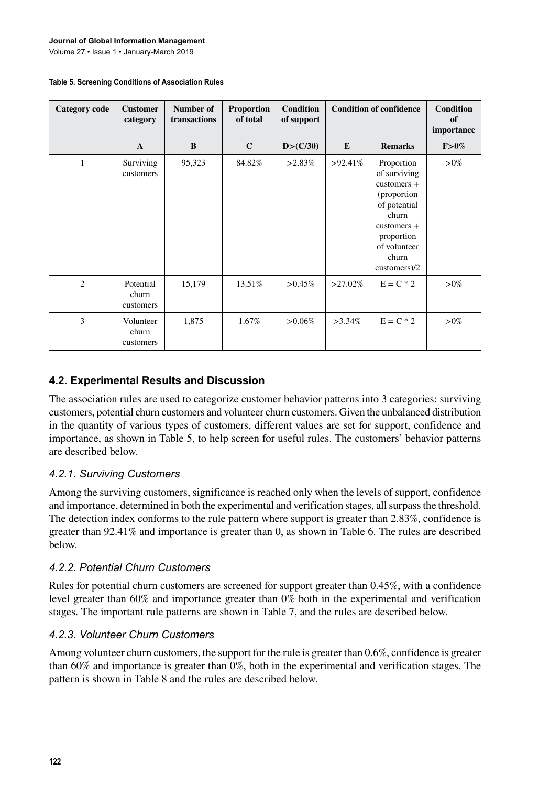Volume 27 • Issue 1 • January-March 2019

| <b>Category code</b> | <b>Customer</b><br>category     | Number of<br>transactions | Proportion<br>of total | <b>Condition</b><br>of support | <b>Condition of confidence</b> |                                                                                                                                                                              | <b>Condition</b><br>of<br>importance |
|----------------------|---------------------------------|---------------------------|------------------------|--------------------------------|--------------------------------|------------------------------------------------------------------------------------------------------------------------------------------------------------------------------|--------------------------------------|
|                      | $\mathbf{A}$                    | $\bf{B}$                  | $\mathbf C$            | D > (C/30)                     | E                              | <b>Remarks</b>                                                                                                                                                               | $F>0\%$                              |
| 1                    | Surviving<br>customers          | 95,323                    | 84.82%                 | $>2.83\%$                      | $>92.41\%$                     | Proportion<br>of surviving<br>$\text{customers}$ +<br>(proportion<br>of potential<br>churn<br>$\text{customers}$ +<br>proportion<br>of volunteer<br>churn<br>customers $)/2$ | $>0\%$                               |
| $\overline{c}$       | Potential<br>churn<br>customers | 15,179                    | 13.51%                 | $>0.45\%$                      | $>27.02\%$                     | $E = C * 2$                                                                                                                                                                  | $>0\%$                               |
| 3                    | Volunteer<br>churn<br>customers | 1,875                     | 1.67%                  | $>0.06\%$                      | $>3.34\%$                      | $E = C * 2$                                                                                                                                                                  | $>0\%$                               |

**Table 5. Screening Conditions of Association Rules**

# **4.2. Experimental Results and Discussion**

The association rules are used to categorize customer behavior patterns into 3 categories: surviving customers, potential churn customers and volunteer churn customers. Given the unbalanced distribution in the quantity of various types of customers, different values are set for support, confidence and importance, as shown in Table 5, to help screen for useful rules. The customers' behavior patterns are described below.

# *4.2.1. Surviving Customers*

Among the surviving customers, significance is reached only when the levels of support, confidence and importance, determined in both the experimental and verification stages, allsurpassthe threshold. The detection index conforms to the rule pattern where support is greater than 2.83%, confidence is greater than 92.41% and importance is greater than 0, as shown in Table 6. The rules are described below.

# *4.2.2. Potential Churn Customers*

Rules for potential churn customers are screened for support greater than 0.45%, with a confidence level greater than 60% and importance greater than 0% both in the experimental and verification stages. The important rule patterns are shown in Table 7, and the rules are described below.

# *4.2.3. Volunteer Churn Customers*

Among volunteer churn customers, the support for the rule is greater than 0.6%, confidence is greater than 60% and importance is greater than 0%, both in the experimental and verification stages. The pattern is shown in Table 8 and the rules are described below.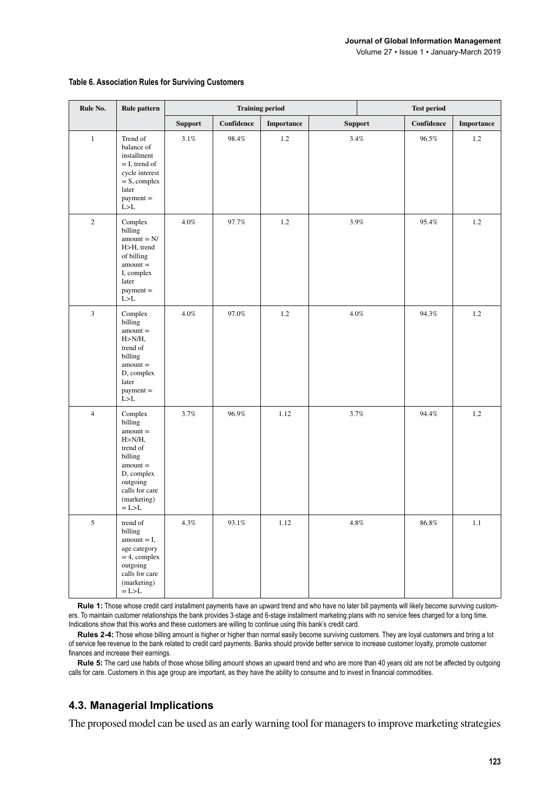Volume 27 • Issue 1 • January-March 2019

| Table 6. Association Rules for Surviving Customers |  |  |  |
|----------------------------------------------------|--|--|--|
|----------------------------------------------------|--|--|--|

| Rule No.       | Rule pattern                                                                                                                                              | <b>Training period</b> |            |                   |                | <b>Test period</b> |            |            |
|----------------|-----------------------------------------------------------------------------------------------------------------------------------------------------------|------------------------|------------|-------------------|----------------|--------------------|------------|------------|
|                |                                                                                                                                                           | <b>Support</b>         | Confidence | <b>Importance</b> | <b>Support</b> |                    | Confidence | Importance |
| $\,1$          | Trend of<br>balance of<br>installment<br>$=$ I, trend of<br>cycle interest<br>$=$ S, complex<br>later<br>$payment =$<br>L > L                             | 3.1%                   | 98.4%      | 1.2               | 3.4%           |                    | 96.5%      | 1.2        |
| $\overline{c}$ | Complex<br>billing<br>$amount = N/$<br>H>H, trend<br>of billing<br>$amount =$<br>I, complex<br>later<br>$payment =$<br>L > L                              | $4.0\%$                | 97.7%      | 1.2               | 3.9%           |                    | 95.4%      | $1.2\,$    |
| $\overline{3}$ | Complex<br>billing<br>$amount =$<br>$H > N/H$ ,<br>trend of<br>billing<br>$amount =$<br>D, complex<br>later<br>$payment =$<br>L > L                       | $4.0\%$                | 97.0%      | 1.2               | $4.0\%$        |                    | 94.3%      | 1.2        |
| $\overline{4}$ | Complex<br>billing<br>$amount =$<br>$H > N/H$ ,<br>trend of<br>billing<br>$amount =$<br>D, complex<br>outgoing<br>calls for care<br>(marketing)<br>$=L>L$ | 3.7%                   | 96.9%      | 1.12              | 3.7%           |                    | 94.4%      | 1.2        |
| 5              | trend of<br>billing<br>$amount = I$ ,<br>age category<br>$=$ 4, complex<br>outgoing<br>calls for care<br>(marketing)<br>$=L>L$                            | 4.3%                   | 93.1%      | 1.12              | 4.8%           |                    | 86.8%      | 1.1        |

**Rule 1:** Those whose credit card installment payments have an upward trend and who have no later bill payments will likely become surviving customers. To maintain customer relationships the bank provides 3-stage and 6-stage installment marketing plans with no service fees charged for a long time. Indications show that this works and these customers are willing to continue using this bank's credit card.

**Rules 2-4:** Those whose billing amount is higher or higher than normal easily become surviving customers. They are loyal customers and bring a lot of service fee revenue to the bank related to credit card payments. Banks should provide better service to increase customer loyalty, promote customer finances and increase their earnings.

**Rule 5:** The card use habits of those whose billing amount shows an upward trend and who are more than 40 years old are not be affected by outgoing calls for care. Customers in this age group are important, as they have the ability to consume and to invest in financial commodities.

## **4.3. Managerial Implications**

The proposed model can be used as an early warning tool for managersto improve marketing strategies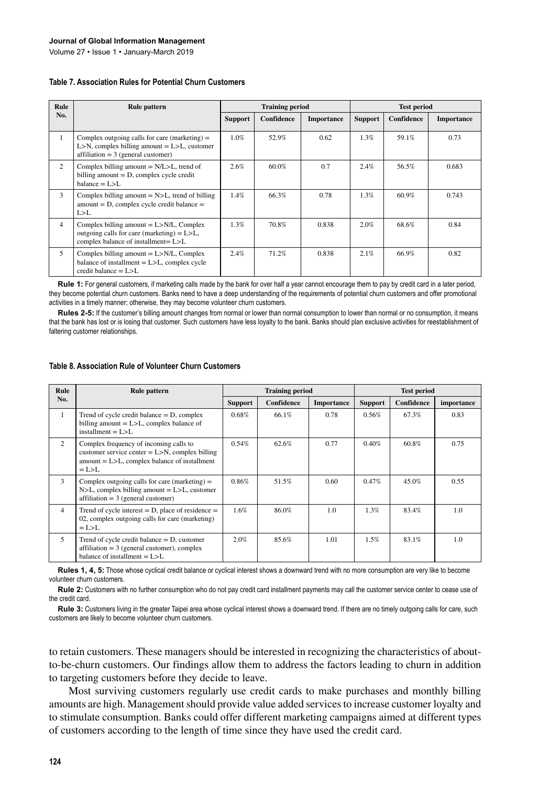Volume 27 • Issue 1 • January-March 2019

| Table 7. Association Rules for Potential Churn Customers |  |  |  |  |  |  |
|----------------------------------------------------------|--|--|--|--|--|--|
|----------------------------------------------------------|--|--|--|--|--|--|

| Rule           | Rule pattern                                                                                                                                |                | <b>Training period</b> |                   | <b>Test period</b> |            |            |
|----------------|---------------------------------------------------------------------------------------------------------------------------------------------|----------------|------------------------|-------------------|--------------------|------------|------------|
| No.            |                                                                                                                                             | <b>Support</b> | Confidence             | <b>Importance</b> | <b>Support</b>     | Confidence | Importance |
| $\mathbf{1}$   | Complex outgoing calls for care (marketing) $=$<br>L>N, complex billing amount $= L > L$ , customer<br>$affiliation = 3$ (general customer) | 1.0%           | 52.9%                  | 0.62              | 1.3%               | 59.1%      | 0.73       |
| $\overline{c}$ | Complex billing amount $=N/L>L$ , trend of<br>billing amount $= D$ , complex cycle credit<br>$balance = L > L$                              | 2.6%           | 60.0%                  | 0.7               | 2.4%               | 56.5%      | 0.683      |
| 3              | Complex billing amount $= N>L$ , trend of billing<br>$amount = D$ , complex cycle credit balance $=$<br>L>L                                 | 1.4%           | 66.3%                  | 0.78              | 1.3%               | 60.9%      | 0.743      |
| 4              | Complex billing amount $= L > N/L$ , Complex<br>outgoing calls for care (marketing) $= L > L$ ,<br>complex balance of installment= L>L      | 1.3%           | 70.8%                  | 0.838             | 2.0%               | 68.6%      | 0.84       |
| 5              | Complex billing amount $= L > N/L$ , Complex<br>balance of installment $= L > L$ , complex cycle<br>credit balance $=$ $L > L$              | 2.4%           | 71.2%                  | 0.838             | 2.1%               | 66.9%      | 0.82       |

**Rule 1:** For general customers, if marketing calls made by the bank for over half a year cannot encourage them to pay by credit card in a later period, they become potential churn customers. Banks need to have a deep understanding of the requirements of potential churn customers and offer promotional activities in a timely manner; otherwise, they may become volunteer churn customers.

**Rules 2-5:** If the customer's billing amount changes from normal or lower than normal consumption to lower than normal or no consumption, it means that the bank has lost or is losing that customer. Such customers have less loyalty to the bank. Banks should plan exclusive activities for reestablishment of faltering customer relationships.

| Table 8. Association Rule of Volunteer Churn Customers |  |  |  |  |
|--------------------------------------------------------|--|--|--|--|
|--------------------------------------------------------|--|--|--|--|

| Rule<br><b>Rule pattern</b> |                                                                                                                                                            |                | <b>Training period</b> |                   | <b>Test period</b> |            |            |
|-----------------------------|------------------------------------------------------------------------------------------------------------------------------------------------------------|----------------|------------------------|-------------------|--------------------|------------|------------|
| No.                         |                                                                                                                                                            | <b>Support</b> | Confidence             | <b>Importance</b> | <b>Support</b>     | Confidence | importance |
| $\mathbf{1}$                | Trend of cycle credit balance $= D$ , complex<br>billing amount $=L>L$ , complex balance of<br>installment $= L > L$                                       | 0.68%          | 66.1%                  | 0.78              | 0.56%              | 67.3%      | 0.83       |
| $\overline{2}$              | Complex frequency of incoming calls to<br>customer service center $= L > N$ , complex billing<br>$amount = L>L$ , complex balance of installment<br>$=L>L$ | 0.54%          | 62.6%                  | 0.77              | $0.40\%$           | 60.8%      | 0.75       |
| 3                           | Complex outgoing calls for care (marketing) $=$<br>$N>L$ , complex billing amount = $L>L$ , customer<br>$affiliation = 3$ (general customer)               | 0.86%          | 51.5%                  | 0.60              | 0.47%              | 45.0%      | 0.55       |
| $\overline{4}$              | Trend of cycle interest $= D$ , place of residence $=$<br>02, complex outgoing calls for care (marketing)<br>$=L>L$                                        | 1.6%           | 86.0%                  | 1.0               | 1.3%               | 83.4%      | 1.0        |
| 5                           | Trend of cycle credit balance $= D$ , customer<br>$affiliation = 3$ (general customer), complex<br>balance of installment $= L > L$                        | 2.0%           | 85.6%                  | 1.01              | $1.5\%$            | 83.1%      | 1.0        |

Rules 1, 4, 5: Those whose cyclical credit balance or cyclical interest shows a downward trend with no more consumption are very like to become volunteer churn customers.

**Rule 2:** Customers with no further consumption who do not pay credit card installment payments may call the customer service center to cease use of the credit card.

**Rule 3:** Customers living in the greater Taipei area whose cyclical interest shows a downward trend. If there are no timely outgoing calls for care, such customers are likely to become volunteer churn customers.

to retain customers. These managers should be interested in recognizing the characteristics of aboutto-be-churn customers. Our findings allow them to address the factors leading to churn in addition to targeting customers before they decide to leave.

Most surviving customers regularly use credit cards to make purchases and monthly billing amounts are high. Management should provide value added services to increase customer loyalty and to stimulate consumption. Banks could offer different marketing campaigns aimed at different types of customers according to the length of time since they have used the credit card.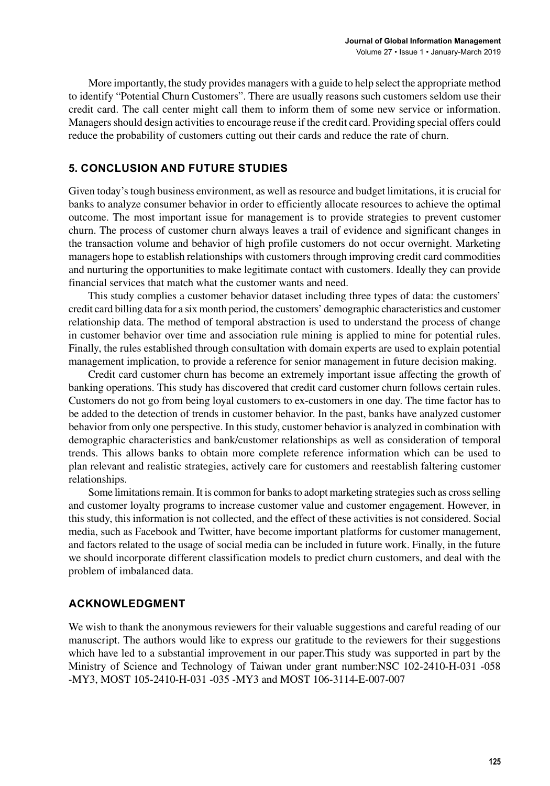More importantly, the study provides managers with a guide to help select the appropriate method to identify "Potential Churn Customers". There are usually reasons such customers seldom use their credit card. The call center might call them to inform them of some new service or information. Managersshould design activitiesto encourage reuse if the credit card. Providing special offers could reduce the probability of customers cutting out their cards and reduce the rate of churn.

# **5. CONCLUSION AND FUTURE STUDIES**

Given today's tough business environment, as well as resource and budget limitations, it is crucial for banks to analyze consumer behavior in order to efficiently allocate resources to achieve the optimal outcome. The most important issue for management is to provide strategies to prevent customer churn. The process of customer churn always leaves a trail of evidence and significant changes in the transaction volume and behavior of high profile customers do not occur overnight. Marketing managers hope to establish relationships with customers through improving credit card commodities and nurturing the opportunities to make legitimate contact with customers. Ideally they can provide financial services that match what the customer wants and need.

This study complies a customer behavior dataset including three types of data: the customers' credit card billing data for a six month period, the customers' demographic characteristics and customer relationship data. The method of temporal abstraction is used to understand the process of change in customer behavior over time and association rule mining is applied to mine for potential rules. Finally, the rules established through consultation with domain experts are used to explain potential management implication, to provide a reference for senior management in future decision making.

Credit card customer churn has become an extremely important issue affecting the growth of banking operations. This study has discovered that credit card customer churn follows certain rules. Customers do not go from being loyal customers to ex-customers in one day. The time factor has to be added to the detection of trends in customer behavior. In the past, banks have analyzed customer behavior from only one perspective. In thisstudy, customer behavior is analyzed in combination with demographic characteristics and bank/customer relationships as well as consideration of temporal trends. This allows banks to obtain more complete reference information which can be used to plan relevant and realistic strategies, actively care for customers and reestablish faltering customer relationships.

Some limitations remain. It is common for banks to adopt marketing strategies such as cross selling and customer loyalty programs to increase customer value and customer engagement. However, in this study, this information is not collected, and the effect of these activities is not considered. Social media, such as Facebook and Twitter, have become important platforms for customer management, and factors related to the usage of social media can be included in future work. Finally, in the future we should incorporate different classification models to predict churn customers, and deal with the problem of imbalanced data.

# **ACKNOWLEDGMENT**

We wish to thank the anonymous reviewers for their valuable suggestions and careful reading of our manuscript. The authors would like to express our gratitude to the reviewers for their suggestions which have led to a substantial improvement in our paper.This study was supported in part by the Ministry of Science and Technology of Taiwan under grant number:NSC 102-2410-H-031 -058 -MY3, MOST 105-2410-H-031 -035 -MY3 and MOST 106-3114-E-007-007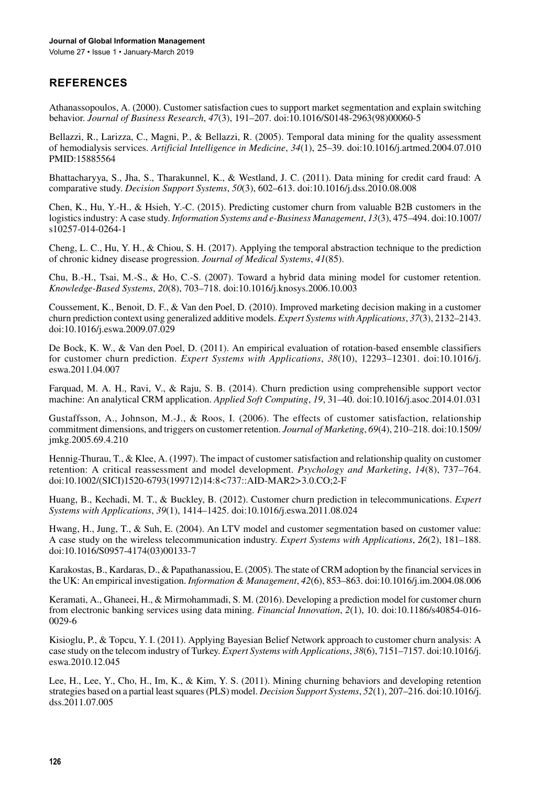# **REFERENCES**

Athanassopoulos, A. (2000). Customer satisfaction cues to support market segmentation and explain switching behavior. *Journal of Business Research*, *47*(3), 191–207. doi[:10.1016/S0148-2963\(98\)00060-5](http://dx.doi.org/10.1016/S0148-2963(98)00060-5)

Bellazzi, R., Larizza, C., Magni, P., & Bellazzi, R. (2005). Temporal data mining for the quality assessment of hemodialysis services. *Artificial Intelligence in Medicine*, *34*(1), 25–39. doi[:10.1016/j.artmed.2004.07.010](http://dx.doi.org/10.1016/j.artmed.2004.07.010) PMID:[15885564](http://www.ncbi.nlm.nih.gov/pubmed/15885564)

Bhattacharyya, S., Jha, S., Tharakunnel, K., & Westland, J. C. (2011). Data mining for credit card fraud: A comparative study. *Decision Support Systems*, *50*(3), 602–613. doi:[10.1016/j.dss.2010.08.008](http://dx.doi.org/10.1016/j.dss.2010.08.008)

Chen, K., Hu, Y.-H., & Hsieh, Y.-C. (2015). Predicting customer churn from valuable B2B customers in the logisticsindustry: A case study. *Information Systems and e-Business Management*, *13*(3), 475–494. doi[:10.1007/](http://dx.doi.org/10.1007/s10257-014-0264-1) [s10257-014-0264-1](http://dx.doi.org/10.1007/s10257-014-0264-1)

Cheng, L. C., Hu, Y. H., & Chiou, S. H. (2017). Applying the temporal abstraction technique to the prediction of chronic kidney disease progression. *Journal of Medical Systems*, *41*(85).

Chu, B.-H., Tsai, M.-S., & Ho, C.-S. (2007). Toward a hybrid data mining model for customer retention. *Knowledge-Based Systems*, *20*(8), 703–718. doi:[10.1016/j.knosys.2006.10.003](http://dx.doi.org/10.1016/j.knosys.2006.10.003)

Coussement, K., Benoit, D. F., & Van den Poel, D. (2010). Improved marketing decision making in a customer churn prediction context using generalized additive models. *Expert Systems with Applications*, *37*(3), 2132–2143. doi:[10.1016/j.eswa.2009.07.029](http://dx.doi.org/10.1016/j.eswa.2009.07.029)

De Bock, K. W., & Van den Poel, D. (2011). An empirical evaluation of rotation-based ensemble classifiers for customer churn prediction. *Expert Systems with Applications*, *38*(10), 12293–12301. doi:[10.1016/j.](http://dx.doi.org/10.1016/j.eswa.2011.04.007) [eswa.2011.04.007](http://dx.doi.org/10.1016/j.eswa.2011.04.007)

Farquad, M. A. H., Ravi, V., & Raju, S. B. (2014). Churn prediction using comprehensible support vector machine: An analytical CRM application. *Applied Soft Computing*, *19*, 31–40. doi[:10.1016/j.asoc.2014.01.031](http://dx.doi.org/10.1016/j.asoc.2014.01.031)

Gustaffsson, A., Johnson, M.-J., & Roos, I. (2006). The effects of customer satisfaction, relationship commitment dimensions, and triggers on customer retention. *Journal of Marketing*, *69*(4), 210–218. doi:[10.1509/](http://dx.doi.org/10.1509/jmkg.2005.69.4.210) [jmkg.2005.69.4.210](http://dx.doi.org/10.1509/jmkg.2005.69.4.210)

Hennig-Thurau, T., & Klee, A. (1997). The impact of customer satisfaction and relationship quality on customer retention: A critical reassessment and model development. *Psychology and Marketing*, *14*(8), 737–764. doi:[10.1002/\(SICI\)1520-6793\(199712\)14:8<737::AID-MAR2>3.0.CO;2-F](http://dx.doi.org/10.1002/(SICI)1520-6793(199712)14:8<737::AID-MAR2>3.0.CO;2-F)

Huang, B., Kechadi, M. T., & Buckley, B. (2012). Customer churn prediction in telecommunications. *Expert Systems with Applications*, *39*(1), 1414–1425. doi[:10.1016/j.eswa.2011.08.024](http://dx.doi.org/10.1016/j.eswa.2011.08.024)

Hwang, H., Jung, T., & Suh, E. (2004). An LTV model and customer segmentation based on customer value: A case study on the wireless telecommunication industry. *Expert Systems with Applications*, *26*(2), 181–188. doi:[10.1016/S0957-4174\(03\)00133-7](http://dx.doi.org/10.1016/S0957-4174(03)00133-7)

Karakostas, B., Kardaras, D., & Papathanassiou, E. (2005). The state of CRM adoption by the financial services in the UK: An empirical investigation. *Information & Management*, *42*(6), 853–863. doi[:10.1016/j.im.2004.08.006](http://dx.doi.org/10.1016/j.im.2004.08.006)

Keramati, A., Ghaneei, H., & Mirmohammadi, S. M. (2016). Developing a prediction model for customer churn from electronic banking services using data mining. *Financial Innovation*, *2*(1), 10. doi:[10.1186/s40854-016-](http://dx.doi.org/10.1186/s40854-016-0029-6) [0029-6](http://dx.doi.org/10.1186/s40854-016-0029-6)

Kisioglu, P., & Topcu, Y. I. (2011). Applying Bayesian Belief Network approach to customer churn analysis: A case study on the telecom industry of Turkey. *Expert Systems with Applications*, *38*(6), 7151–7157. doi:[10.1016/j.](http://dx.doi.org/10.1016/j.eswa.2010.12.045) [eswa.2010.12.045](http://dx.doi.org/10.1016/j.eswa.2010.12.045)

Lee, H., Lee, Y., Cho, H., Im, K., & Kim, Y. S. (2011). Mining churning behaviors and developing retention strategies based on a partial least squares (PLS) model. *Decision Support Systems*,  $52(1)$ ,  $207-216$ . doi:[10.1016/j.](http://dx.doi.org/10.1016/j.dss.2011.07.005) [dss.2011.07.005](http://dx.doi.org/10.1016/j.dss.2011.07.005)